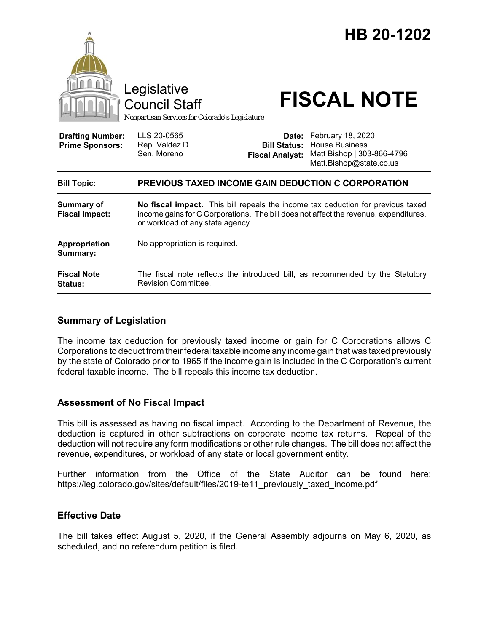

## **Summary of Legislation**

The income tax deduction for previously taxed income or gain for C Corporations allows C Corporations to deduct from their federal taxable income any income gain that was taxed previously by the state of Colorado prior to 1965 if the income gain is included in the C Corporation's current federal taxable income. The bill repeals this income tax deduction.

## **Assessment of No Fiscal Impact**

This bill is assessed as having no fiscal impact. According to the Department of Revenue, the deduction is captured in other subtractions on corporate income tax returns. Repeal of the deduction will not require any form modifications or other rule changes. The bill does not affect the revenue, expenditures, or workload of any state or local government entity.

Further information from the Office of the State Auditor can be found here: https://leg.colorado.gov/sites/default/files/2019-te11\_previously\_taxed\_income.pdf

## **Effective Date**

The bill takes effect August 5, 2020, if the General Assembly adjourns on May 6, 2020, as scheduled, and no referendum petition is filed.